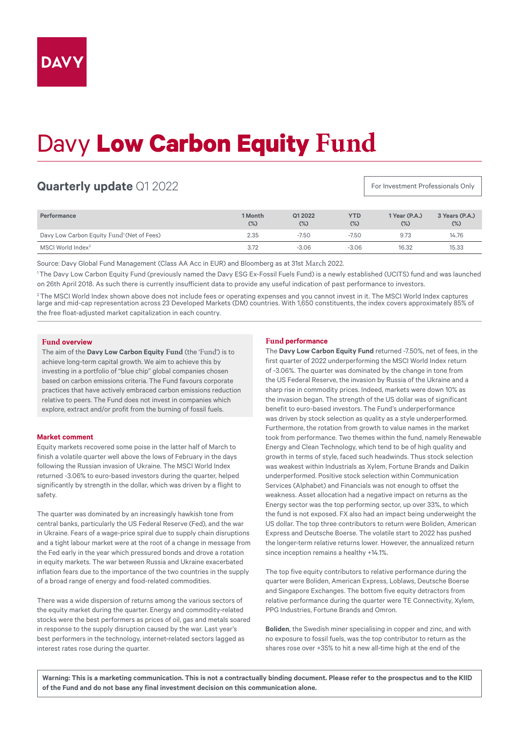# Davy **Low Carbon Equity Fund**

# **Quarterly update** Q1 2022

For Investment Professionals Only

| Performance                                            | 1 Month<br>$(\%)$ | Q1 2022<br>(%) | <b>YTD</b><br>$(\%)$ | 1 Year (P.A.)<br>(%) | 3 Years (P.A.)<br>$(\%)$ |
|--------------------------------------------------------|-------------------|----------------|----------------------|----------------------|--------------------------|
| Davy Low Carbon Equity Fund <sup>1</sup> (Net of Fees) | 2.35              | $-7.50$        | $-7.50$              | 9.73                 | 14.76                    |
| MSCI World Index <sup>2</sup>                          | 3.72              | $-3.06$        | $-3.06$              | 16.32                | 15.33                    |

Source: Davy Global Fund Management (Class AA Acc in EUR) and Bloomberg as at 31st March 2022.

<sup>1</sup>The Davy Low Carbon Equity Fund (previously named the Davy ESG Ex-Fossil Fuels Fund) is a newly established (UCITS) fund and was launched on 26th April 2018. As such there is currently insufficient data to provide any useful indication of past performance to investors.

<sup>2</sup>The MSCI World Index shown above does not include fees or operating expenses and you cannot invest in it. The MSCI World Index captures large and mid-cap representation across 23 Developed Markets (DM) countries. With 1,650 constituents, the index covers approximately 85% of the free float-adjusted market capitalization in each country.

# **Fund overview**

The aim of the **Davy Low Carbon Equity Fund** (the 'Fund') is to achieve long-term capital growth. We aim to achieve this by investing in a portfolio of "blue chip" global companies chosen based on carbon emissions criteria. The Fund favours corporate practices that have actively embraced carbon emissions reduction relative to peers. The Fund does not invest in companies which explore, extract and/or profit from the burning of fossil fuels.

#### **Market comment**

Equity markets recovered some poise in the latter half of March to finish a volatile quarter well above the lows of February in the days following the Russian invasion of Ukraine. The MSCI World Index returned -3.06% to euro-based investors during the quarter, helped significantly by strength in the dollar, which was driven by a flight to safety.

The quarter was dominated by an increasingly hawkish tone from central banks, particularly the US Federal Reserve (Fed), and the war in Ukraine. Fears of a wage-price spiral due to supply chain disruptions and a tight labour market were at the root of a change in message from the Fed early in the year which pressured bonds and drove a rotation in equity markets. The war between Russia and Ukraine exacerbated inflation fears due to the importance of the two countries in the supply of a broad range of energy and food-related commodities.

There was a wide dispersion of returns among the various sectors of the equity market during the quarter. Energy and commodity-related stocks were the best performers as prices of oil, gas and metals soared in response to the supply disruption caused by the war. Last year's best performers in the technology, internet-related sectors lagged as interest rates rose during the quarter.

# **Fund performance**

The **Davy Low Carbon Equity Fund** returned -7.50%, net of fees, in the first quarter of 2022 underperforming the MSCI World Index return of -3.06%. The quarter was dominated by the change in tone from the US Federal Reserve, the invasion by Russia of the Ukraine and a sharp rise in commodity prices. Indeed, markets were down 10% as the invasion began. The strength of the US dollar was of significant benefit to euro-based investors. The Fund's underperformance was driven by stock selection as quality as a style underperformed. Furthermore, the rotation from growth to value names in the market took from performance. Two themes within the fund, namely Renewable Energy and Clean Technology, which tend to be of high quality and growth in terms of style, faced such headwinds. Thus stock selection was weakest within Industrials as Xylem, Fortune Brands and Daikin underperformed. Positive stock selection within Communication Services (Alphabet) and Financials was not enough to offset the weakness. Asset allocation had a negative impact on returns as the Energy sector was the top performing sector, up over 33%, to which the fund is not exposed. FX also had an impact being underweight the US dollar. The top three contributors to return were Boliden, American Express and Deutsche Boerse. The volatile start to 2022 has pushed the longer-term relative returns lower. However, the annualized return since inception remains a healthy +14.1%.

The top five equity contributors to relative performance during the quarter were Boliden, American Express, Loblaws, Deutsche Boerse and Singapore Exchanges. The bottom five equity detractors from relative performance during the quarter were TE Connectivity, Xylem, PPG Industries, Fortune Brands and Omron.

**Boliden**, the Swedish miner specialising in copper and zinc, and with no exposure to fossil fuels, was the top contributor to return as the shares rose over +35% to hit a new all-time high at the end of the

**Warning: This is a marketing communication. This is not a contractually binding document. Please refer to the prospectus and to the KIID of the Fund and do not base any final investment decision on this communication alone.**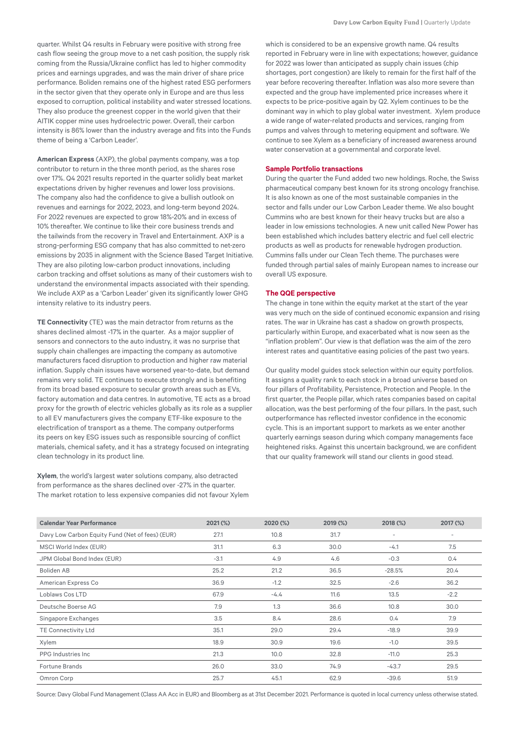quarter. Whilst Q4 results in February were positive with strong free cash flow seeing the group move to a net cash position, the supply risk coming from the Russia/Ukraine conflict has led to higher commodity prices and earnings upgrades, and was the main driver of share price performance. Boliden remains one of the highest rated ESG performers in the sector given that they operate only in Europe and are thus less exposed to corruption, political instability and water stressed locations. They also produce the greenest copper in the world given that their AITIK copper mine uses hydroelectric power. Overall, their carbon intensity is 86% lower than the industry average and fits into the Funds theme of being a 'Carbon Leader'.

**American Express** (AXP), the global payments company, was a top contributor to return in the three month period, as the shares rose over 17%. Q4 2021 results reported in the quarter solidly beat market expectations driven by higher revenues and lower loss provisions. The company also had the confidence to give a bullish outlook on revenues and earnings for 2022, 2023, and long-term beyond 2024. For 2022 revenues are expected to grow 18%-20% and in excess of 10% thereafter. We continue to like their core business trends and the tailwinds from the recovery in Travel and Entertainment. AXP is a strong-performing ESG company that has also committed to net-zero emissions by 2035 in alignment with the Science Based Target Initiative. They are also piloting low-carbon product innovations, including carbon tracking and offset solutions as many of their customers wish to understand the environmental impacts associated with their spending. We include AXP as a 'Carbon Leader' given its significantly lower GHG intensity relative to its industry peers.

**TE Connectivity** (TE) was the main detractor from returns as the shares declined almost -17% in the quarter. As a major supplier of sensors and connectors to the auto industry, it was no surprise that supply chain challenges are impacting the company as automotive manufacturers faced disruption to production and higher raw material inflation. Supply chain issues have worsened year-to-date, but demand remains very solid. TE continues to execute strongly and is benefiting from its broad based exposure to secular growth areas such as EVs, factory automation and data centres. In automotive, TE acts as a broad proxy for the growth of electric vehicles globally as its role as a supplier to all EV manufacturers gives the company ETF-like exposure to the electrification of transport as a theme. The company outperforms its peers on key ESG issues such as responsible sourcing of conflict materials, chemical safety, and it has a strategy focused on integrating clean technology in its product line.

**Xylem**, the world's largest water solutions company, also detracted from performance as the shares declined over -27% in the quarter. The market rotation to less expensive companies did not favour Xylem

which is considered to be an expensive growth name. Q4 results reported in February were in line with expectations; however, guidance for 2022 was lower than anticipated as supply chain issues (chip shortages, port congestion) are likely to remain for the first half of the year before recovering thereafter. Inflation was also more severe than expected and the group have implemented price increases where it expects to be price-positive again by Q2. Xylem continues to be the dominant way in which to play global water investment. Xylem produce a wide range of water-related products and services, ranging from pumps and valves through to metering equipment and software. We continue to see Xylem as a beneficiary of increased awareness around water conservation at a governmental and corporate level.

#### **Sample Portfolio transactions**

During the quarter the Fund added two new holdings. Roche, the Swiss pharmaceutical company best known for its strong oncology franchise. It is also known as one of the most sustainable companies in the sector and falls under our Low Carbon Leader theme. We also bought Cummins who are best known for their heavy trucks but are also a leader in low emissions technologies. A new unit called New Power has been established which includes battery electric and fuel cell electric products as well as products for renewable hydrogen production. Cummins falls under our Clean Tech theme. The purchases were funded through partial sales of mainly European names to increase our overall US exposure.

# **The QQE perspective**

The change in tone within the equity market at the start of the year was very much on the side of continued economic expansion and rising rates. The war in Ukraine has cast a shadow on growth prospects, particularly within Europe, and exacerbated what is now seen as the "inflation problem". Our view is that deflation was the aim of the zero interest rates and quantitative easing policies of the past two years.

Our quality model quides stock selection within our equity portfolios. It assigns a quality rank to each stock in a broad universe based on four pillars of Profitability, Persistence, Protection and People. In the first quarter, the People pillar, which rates companies based on capital allocation, was the best performing of the four pillars. In the past, such outperformance has reflected investor confidence in the economic cycle. This is an important support to markets as we enter another quarterly earnings season during which company managements face heightened risks. Against this uncertain background, we are confident that our quality framework will stand our clients in good stead.

| <b>Calendar Year Performance</b>                | 2021 (%) | 2020 (%) | 2019 (%) | 2018 (%)                 | 2017 (%)                 |
|-------------------------------------------------|----------|----------|----------|--------------------------|--------------------------|
| Davy Low Carbon Equity Fund (Net of fees) (EUR) | 27.1     | 10.8     | 31.7     | $\overline{\phantom{a}}$ | $\overline{\phantom{a}}$ |
| MSCI World Index (EUR)                          | 31.1     | 6.3      | 30.0     | $-4.1$                   | 7.5                      |
| JPM Global Bond Index (EUR)                     | $-3.1$   | 4.9      | 4.6      | $-0.3$                   | 0.4                      |
| Boliden AB                                      | 25.2     | 21.2     | 36.5     | $-28.5%$                 | 20.4                     |
| American Express Co                             | 36.9     | $-1.2$   | 32.5     | $-2.6$                   | 36.2                     |
| Loblaws Cos LTD                                 | 67.9     | $-4.4$   | 11.6     | 13.5                     | $-2.2$                   |
| Deutsche Boerse AG                              | 7.9      | 1.3      | 36.6     | 10.8                     | 30.0                     |
| Singapore Exchanges                             | 3.5      | 8.4      | 28.6     | 0.4                      | 7.9                      |
| TE Connectivity Ltd                             | 35.1     | 29.0     | 29.4     | $-18.9$                  | 39.9                     |
| Xylem                                           | 18.9     | 30.9     | 19.6     | $-1.0$                   | 39.5                     |
| <b>PPG</b> Industries Inc.                      | 21.3     | 10.0     | 32.8     | $-11.0$                  | 25.3                     |
| <b>Fortune Brands</b>                           | 26.0     | 33.0     | 74.9     | $-43.7$                  | 29.5                     |
| Omron Corp                                      | 25.7     | 45.1     | 62.9     | $-39.6$                  | 51.9                     |

Source: Davy Global Fund Management (Class AA Acc in EUR) and Bloomberg as at 31st December 2021. Performance is quoted in local currency unless otherwise stated.